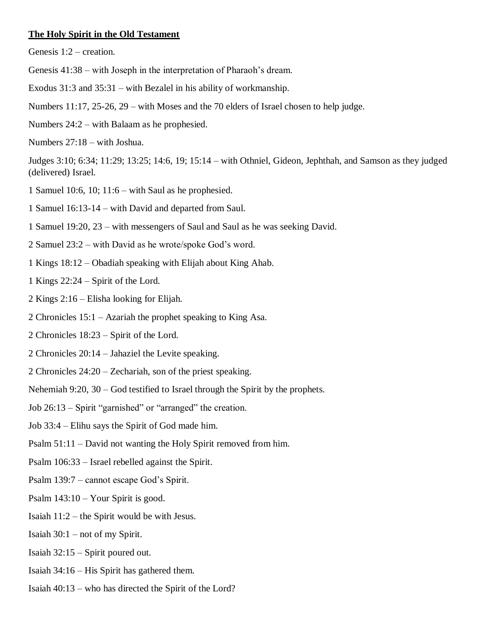#### **The Holy Spirit in the Old Testament**

Genesis 1:2 – creation.

- Genesis 41:38 with Joseph in the interpretation of Pharaoh's dream.
- Exodus 31:3 and 35:31 with Bezalel in his ability of workmanship.
- Numbers 11:17, 25-26, 29 with Moses and the 70 elders of Israel chosen to help judge.
- Numbers 24:2 with Balaam as he prophesied.
- Numbers 27:18 with Joshua.

Judges 3:10; 6:34; 11:29; 13:25; 14:6, 19; 15:14 – with Othniel, Gideon, Jephthah, and Samson as they judged (delivered) Israel.

- 1 Samuel 10:6, 10; 11:6 with Saul as he prophesied.
- 1 Samuel 16:13-14 with David and departed from Saul.
- 1 Samuel 19:20, 23 with messengers of Saul and Saul as he was seeking David.
- 2 Samuel 23:2 with David as he wrote/spoke God's word.
- 1 Kings 18:12 Obadiah speaking with Elijah about King Ahab.
- 1 Kings 22:24 Spirit of the Lord.
- 2 Kings 2:16 Elisha looking for Elijah.
- 2 Chronicles 15:1 Azariah the prophet speaking to King Asa.
- 2 Chronicles 18:23 Spirit of the Lord.
- 2 Chronicles 20:14 Jahaziel the Levite speaking.
- 2 Chronicles 24:20 Zechariah, son of the priest speaking.
- Nehemiah 9:20, 30 God testified to Israel through the Spirit by the prophets.
- Job 26:13 Spirit "garnished" or "arranged" the creation.
- Job 33:4 Elihu says the Spirit of God made him.
- Psalm 51:11 David not wanting the Holy Spirit removed from him.
- Psalm 106:33 Israel rebelled against the Spirit.
- Psalm 139:7 cannot escape God's Spirit.
- Psalm 143:10 Your Spirit is good.
- Isaiah 11:2 the Spirit would be with Jesus.
- Isaiah 30:1 not of my Spirit.
- Isaiah 32:15 Spirit poured out.
- Isaiah 34:16 His Spirit has gathered them.
- Isaiah 40:13 who has directed the Spirit of the Lord?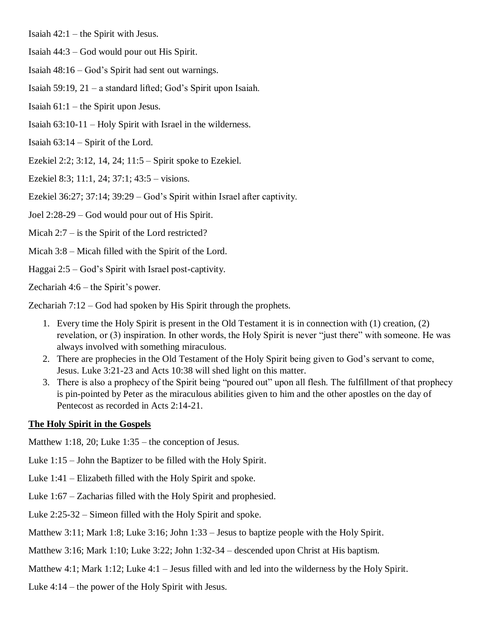- Isaiah  $42:1$  the Spirit with Jesus.
- Isaiah 44:3 God would pour out His Spirit.
- Isaiah 48:16 God's Spirit had sent out warnings.
- Isaiah 59:19, 21 a standard lifted; God's Spirit upon Isaiah.
- Isaiah 61:1 the Spirit upon Jesus.
- Isaiah 63:10-11 Holy Spirit with Israel in the wilderness.

Isaiah 63:14 – Spirit of the Lord.

Ezekiel 2:2; 3:12, 14, 24; 11:5 – Spirit spoke to Ezekiel.

Ezekiel 8:3; 11:1, 24; 37:1; 43:5 – visions.

Ezekiel 36:27; 37:14; 39:29 – God's Spirit within Israel after captivity.

Joel 2:28-29 – God would pour out of His Spirit.

Micah 2:7 – is the Spirit of the Lord restricted?

Micah 3:8 – Micah filled with the Spirit of the Lord.

Haggai 2:5 – God's Spirit with Israel post-captivity.

Zechariah 4:6 – the Spirit's power.

Zechariah 7:12 – God had spoken by His Spirit through the prophets.

- 1. Every time the Holy Spirit is present in the Old Testament it is in connection with (1) creation, (2) revelation, or (3) inspiration. In other words, the Holy Spirit is never "just there" with someone. He was always involved with something miraculous.
- 2. There are prophecies in the Old Testament of the Holy Spirit being given to God's servant to come, Jesus. Luke 3:21-23 and Acts 10:38 will shed light on this matter.
- 3. There is also a prophecy of the Spirit being "poured out" upon all flesh. The fulfillment of that prophecy is pin-pointed by Peter as the miraculous abilities given to him and the other apostles on the day of Pentecost as recorded in Acts 2:14-21.

### **The Holy Spirit in the Gospels**

Matthew 1:18, 20; Luke 1:35 – the conception of Jesus.

Luke 1:15 – John the Baptizer to be filled with the Holy Spirit.

- Luke 1:41 Elizabeth filled with the Holy Spirit and spoke.
- Luke 1:67 Zacharias filled with the Holy Spirit and prophesied.
- Luke 2:25-32 Simeon filled with the Holy Spirit and spoke.
- Matthew 3:11; Mark 1:8; Luke 3:16; John 1:33 Jesus to baptize people with the Holy Spirit.

Matthew 3:16; Mark 1:10; Luke 3:22; John 1:32-34 – descended upon Christ at His baptism.

Matthew 4:1; Mark 1:12; Luke 4:1 – Jesus filled with and led into the wilderness by the Holy Spirit.

Luke 4:14 – the power of the Holy Spirit with Jesus.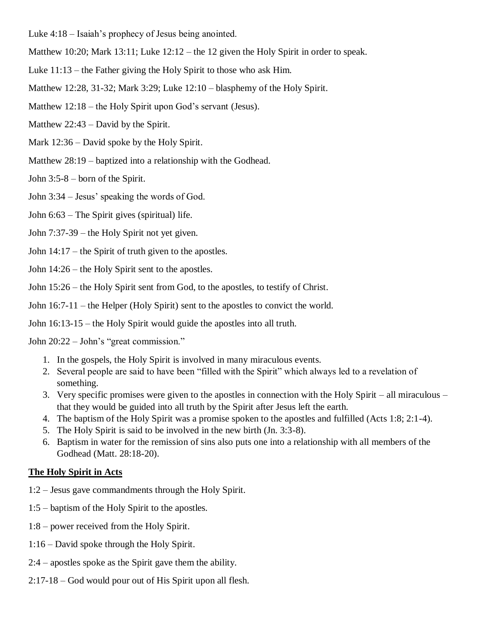- Luke 4:18 Isaiah's prophecy of Jesus being anointed.
- Matthew 10:20; Mark 13:11; Luke 12:12 the 12 given the Holy Spirit in order to speak.
- Luke 11:13 the Father giving the Holy Spirit to those who ask Him.
- Matthew 12:28, 31-32; Mark 3:29; Luke 12:10 blasphemy of the Holy Spirit.
- Matthew 12:18 the Holy Spirit upon God's servant (Jesus).
- Matthew 22:43 David by the Spirit.
- Mark 12:36 David spoke by the Holy Spirit.
- Matthew 28:19 baptized into a relationship with the Godhead.
- John 3:5-8 born of the Spirit.
- John 3:34 Jesus' speaking the words of God.
- John 6:63 The Spirit gives (spiritual) life.
- John 7:37-39 the Holy Spirit not yet given.
- John 14:17 the Spirit of truth given to the apostles.
- John 14:26 the Holy Spirit sent to the apostles.
- John 15:26 the Holy Spirit sent from God, to the apostles, to testify of Christ.
- John 16:7-11 the Helper (Holy Spirit) sent to the apostles to convict the world.
- John 16:13-15 the Holy Spirit would guide the apostles into all truth.
- John 20:22 John's "great commission."
	- 1. In the gospels, the Holy Spirit is involved in many miraculous events.
	- 2. Several people are said to have been "filled with the Spirit" which always led to a revelation of something.
	- 3. Very specific promises were given to the apostles in connection with the Holy Spirit all miraculous that they would be guided into all truth by the Spirit after Jesus left the earth.
	- 4. The baptism of the Holy Spirit was a promise spoken to the apostles and fulfilled (Acts 1:8; 2:1-4).
	- 5. The Holy Spirit is said to be involved in the new birth (Jn. 3:3-8).
	- 6. Baptism in water for the remission of sins also puts one into a relationship with all members of the Godhead (Matt. 28:18-20).

#### **The Holy Spirit in Acts**

- 1:2 Jesus gave commandments through the Holy Spirit.
- 1:5 baptism of the Holy Spirit to the apostles.
- 1:8 power received from the Holy Spirit.
- 1:16 David spoke through the Holy Spirit.
- 2:4 apostles spoke as the Spirit gave them the ability.
- 2:17-18 God would pour out of His Spirit upon all flesh.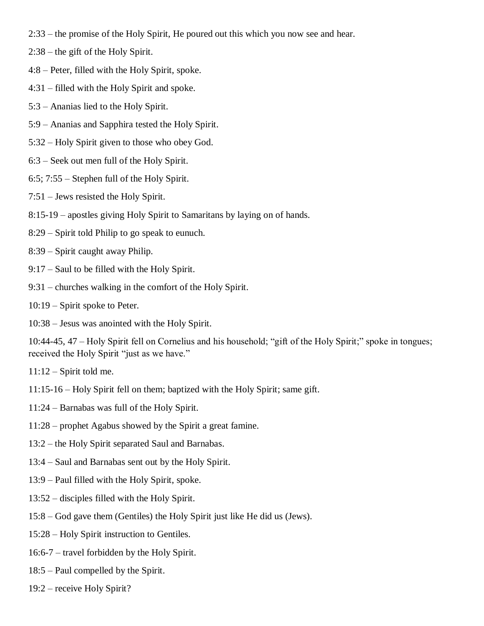- 2:33 the promise of the Holy Spirit, He poured out this which you now see and hear.
- 2:38 the gift of the Holy Spirit.
- 4:8 Peter, filled with the Holy Spirit, spoke.
- 4:31 filled with the Holy Spirit and spoke.
- 5:3 Ananias lied to the Holy Spirit.
- 5:9 Ananias and Sapphira tested the Holy Spirit.
- 5:32 Holy Spirit given to those who obey God.
- 6:3 Seek out men full of the Holy Spirit.
- 6:5; 7:55 Stephen full of the Holy Spirit.
- 7:51 Jews resisted the Holy Spirit.
- 8:15-19 apostles giving Holy Spirit to Samaritans by laying on of hands.
- 8:29 Spirit told Philip to go speak to eunuch.
- 8:39 Spirit caught away Philip.
- 9:17 Saul to be filled with the Holy Spirit.
- 9:31 churches walking in the comfort of the Holy Spirit.
- 10:19 Spirit spoke to Peter.
- 10:38 Jesus was anointed with the Holy Spirit.

10:44-45, 47 – Holy Spirit fell on Cornelius and his household; "gift of the Holy Spirit;" spoke in tongues; received the Holy Spirit "just as we have."

- $11:12$  Spirit told me.
- 11:15-16 Holy Spirit fell on them; baptized with the Holy Spirit; same gift.
- 11:24 Barnabas was full of the Holy Spirit.
- 11:28 prophet Agabus showed by the Spirit a great famine.
- 13:2 the Holy Spirit separated Saul and Barnabas.
- 13:4 Saul and Barnabas sent out by the Holy Spirit.
- 13:9 Paul filled with the Holy Spirit, spoke.
- 13:52 disciples filled with the Holy Spirit.
- 15:8 God gave them (Gentiles) the Holy Spirit just like He did us (Jews).
- 15:28 Holy Spirit instruction to Gentiles.
- 16:6-7 travel forbidden by the Holy Spirit.
- 18:5 Paul compelled by the Spirit.
- 19:2 receive Holy Spirit?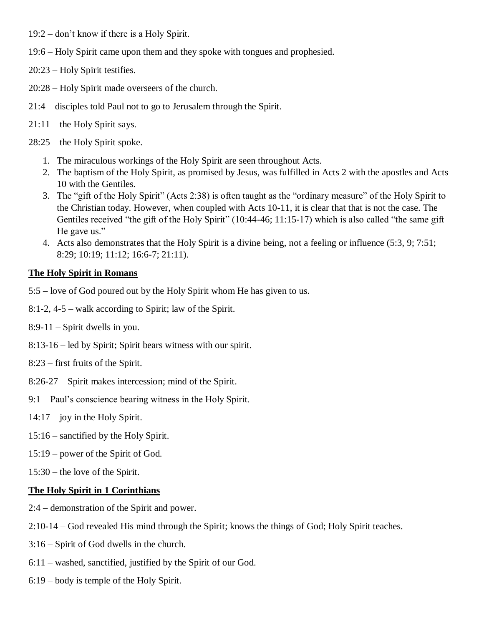- 19:2 don't know if there is a Holy Spirit.
- 19:6 Holy Spirit came upon them and they spoke with tongues and prophesied.
- 20:23 Holy Spirit testifies.
- 20:28 Holy Spirit made overseers of the church.
- 21:4 disciples told Paul not to go to Jerusalem through the Spirit.
- 21:11 the Holy Spirit says.
- 28:25 the Holy Spirit spoke.
	- 1. The miraculous workings of the Holy Spirit are seen throughout Acts.
	- 2. The baptism of the Holy Spirit, as promised by Jesus, was fulfilled in Acts 2 with the apostles and Acts 10 with the Gentiles.
	- 3. The "gift of the Holy Spirit" (Acts 2:38) is often taught as the "ordinary measure" of the Holy Spirit to the Christian today. However, when coupled with Acts 10-11, it is clear that that is not the case. The Gentiles received "the gift of the Holy Spirit" (10:44-46; 11:15-17) which is also called "the same gift He gave us."
	- 4. Acts also demonstrates that the Holy Spirit is a divine being, not a feeling or influence (5:3, 9; 7:51; 8:29; 10:19; 11:12; 16:6-7; 21:11).

# **The Holy Spirit in Romans**

- 5:5 love of God poured out by the Holy Spirit whom He has given to us.
- 8:1-2, 4-5 walk according to Spirit; law of the Spirit.
- $8:9-11$  Spirit dwells in you.
- 8:13-16 led by Spirit; Spirit bears witness with our spirit.
- 8:23 first fruits of the Spirit.
- 8:26-27 Spirit makes intercession; mind of the Spirit.
- 9:1 Paul's conscience bearing witness in the Holy Spirit.
- 14:17 joy in the Holy Spirit.
- 15:16 sanctified by the Holy Spirit.
- 15:19 power of the Spirit of God.
- 15:30 the love of the Spirit.

### **The Holy Spirit in 1 Corinthians**

- 2:4 demonstration of the Spirit and power.
- 2:10-14 God revealed His mind through the Spirit; knows the things of God; Holy Spirit teaches.
- 3:16 Spirit of God dwells in the church.
- 6:11 washed, sanctified, justified by the Spirit of our God.
- 6:19 body is temple of the Holy Spirit.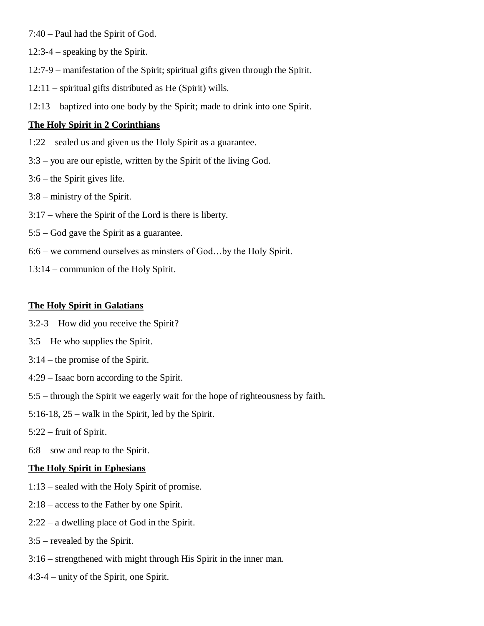- 7:40 Paul had the Spirit of God.
- 12:3-4 speaking by the Spirit.
- 12:7-9 manifestation of the Spirit; spiritual gifts given through the Spirit.
- 12:11 spiritual gifts distributed as He (Spirit) wills.
- 12:13 baptized into one body by the Spirit; made to drink into one Spirit.

#### **The Holy Spirit in 2 Corinthians**

- 1:22 sealed us and given us the Holy Spirit as a guarantee.
- 3:3 you are our epistle, written by the Spirit of the living God.
- 3:6 the Spirit gives life.
- 3:8 ministry of the Spirit.
- 3:17 where the Spirit of the Lord is there is liberty.
- 5:5 God gave the Spirit as a guarantee.
- 6:6 we commend ourselves as minsters of God…by the Holy Spirit.
- 13:14 communion of the Holy Spirit.

#### **The Holy Spirit in Galatians**

- 3:2-3 How did you receive the Spirit?
- 3:5 He who supplies the Spirit.
- 3:14 the promise of the Spirit.
- 4:29 Isaac born according to the Spirit.
- 5:5 through the Spirit we eagerly wait for the hope of righteousness by faith.
- 5:16-18, 25 walk in the Spirit, led by the Spirit.
- 5:22 fruit of Spirit.
- 6:8 sow and reap to the Spirit.

### **The Holy Spirit in Ephesians**

- 1:13 sealed with the Holy Spirit of promise.
- 2:18 access to the Father by one Spirit.
- 2:22 a dwelling place of God in the Spirit.
- 3:5 revealed by the Spirit.
- 3:16 strengthened with might through His Spirit in the inner man.
- 4:3-4 unity of the Spirit, one Spirit.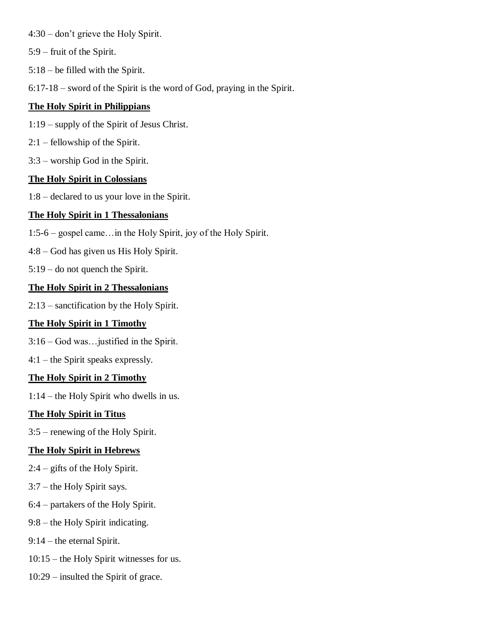- 4:30 don't grieve the Holy Spirit.
- 5:9 fruit of the Spirit.
- 5:18 be filled with the Spirit.
- 6:17-18 sword of the Spirit is the word of God, praying in the Spirit.

## **The Holy Spirit in Philippians**

- 1:19 supply of the Spirit of Jesus Christ.
- 2:1 fellowship of the Spirit.
- 3:3 worship God in the Spirit.

## **The Holy Spirit in Colossians**

1:8 – declared to us your love in the Spirit.

# **The Holy Spirit in 1 Thessalonians**

- 1:5-6 gospel came…in the Holy Spirit, joy of the Holy Spirit.
- 4:8 God has given us His Holy Spirit.
- 5:19 do not quench the Spirit.

## **The Holy Spirit in 2 Thessalonians**

2:13 – sanctification by the Holy Spirit.

# **The Holy Spirit in 1 Timothy**

- 3:16 God was…justified in the Spirit.
- 4:1 the Spirit speaks expressly.

# **The Holy Spirit in 2 Timothy**

1:14 – the Holy Spirit who dwells in us.

# **The Holy Spirit in Titus**

3:5 – renewing of the Holy Spirit.

### **The Holy Spirit in Hebrews**

- 2:4 gifts of the Holy Spirit.
- 3:7 the Holy Spirit says.
- 6:4 partakers of the Holy Spirit.
- 9:8 the Holy Spirit indicating.
- 9:14 the eternal Spirit.
- 10:15 the Holy Spirit witnesses for us.
- 10:29 insulted the Spirit of grace.